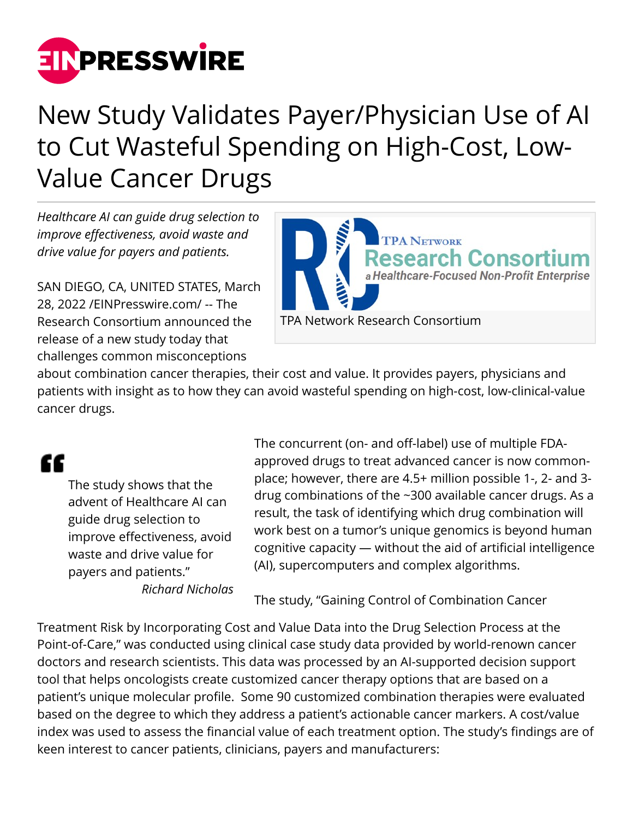

## New Study Validates Payer/Physician Use of AI to Cut Wasteful Spending on High-Cost, Low-Value Cancer Drugs

*Healthcare AI can guide drug selection to improve effectiveness, avoid waste and drive value for payers and patients.*

SAN DIEGO, CA, UNITED STATES, March 28, 2022 /[EINPresswire.com/](http://www.einpresswire.com) -- The Research Consortium announced the release of a new study today that challenges common misconceptions



about combination cancer therapies, their cost and value. It provides payers, physicians and patients with insight as to how they can avoid wasteful spending on high-cost, low-clinical-value cancer drugs.

## "

The study shows that the advent of Healthcare AI can guide drug selection to improve effectiveness, avoid waste and drive value for payers and patients." *Richard Nicholas* The concurrent (on- and off-label) use of multiple FDAapproved drugs to treat advanced cancer is now commonplace; however, there are 4.5+ million possible 1-, 2- and 3 drug combinations of the ~300 available cancer drugs. As a result, the task of identifying which drug combination will work best on a tumor's unique genomics is beyond human cognitive capacity — without the aid of artificial intelligence (AI), supercomputers and complex algorithms.

The study, "Gaining Control of Combination Cancer

Treatment Risk by Incorporating Cost and Value Data into the Drug Selection Process at the Point-of-Care," was conducted using clinical case study data provided by world-renown cancer doctors and research scientists. This data was processed by an AI-supported decision support tool that helps oncologists create customized cancer therapy options that are based on a patient's unique molecular profile. Some 90 customized combination therapies were evaluated based on the degree to which they address a patient's actionable cancer markers. A cost/value index was used to assess the financial value of each treatment option. The study's findings are of keen interest to cancer patients, clinicians, payers and manufacturers: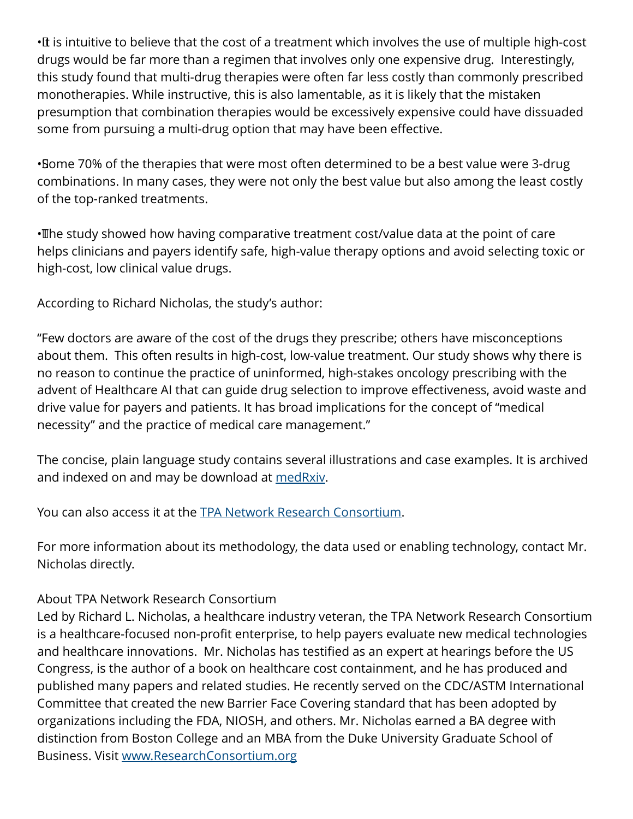•It is intuitive to believe that the cost of a treatment which involves the use of multiple high-cost drugs would be far more than a regimen that involves only one expensive drug. Interestingly, this study found that multi-drug therapies were often far less costly than commonly prescribed monotherapies. While instructive, this is also lamentable, as it is likely that the mistaken presumption that combination therapies would be excessively expensive could have dissuaded some from pursuing a multi-drug option that may have been effective.

• Some 70% of the therapies that were most often determined to be a best value were 3-drug combinations. In many cases, they were not only the best value but also among the least costly of the top-ranked treatments.

• The study showed how having comparative treatment cost/value data at the point of care helps clinicians and payers identify safe, high-value therapy options and avoid selecting toxic or high-cost, low clinical value drugs.

According to Richard Nicholas, the study's author:

"Few doctors are aware of the cost of the drugs they prescribe; others have misconceptions about them. This often results in high-cost, low-value treatment. Our study shows why there is no reason to continue the practice of uninformed, high-stakes oncology prescribing with the advent of Healthcare AI that can guide drug selection to improve effectiveness, avoid waste and drive value for payers and patients. It has broad implications for the concept of "medical necessity" and the practice of medical care management."

The concise, plain language study contains several illustrations and case examples. It is archived and indexed on and may be download at [medRxiv.](https://www.medrxiv.org/content/10.1101/2022.02.13.22270914v2)

You can also access it at the [TPA Network Research Consortium](http://www.researchconsortium.org/files/gaining-control-of-combination-cancer-treatment-risk-by-incorporating-cost-and-value-data-into-the-drug-selection-process-at-the-point-of-care-march-2022.pdf).

For more information about its methodology, the data used or enabling technology, contact Mr. Nicholas directly.

## About TPA Network Research Consortium

Led by Richard L. Nicholas, a healthcare industry veteran, the TPA Network Research Consortium is a healthcare-focused non-profit enterprise, to help payers evaluate new medical technologies and healthcare innovations. Mr. Nicholas has testified as an expert at hearings before the US Congress, is the author of a book on healthcare cost containment, and he has produced and published many papers and related studies. He recently served on the CDC/ASTM International Committee that created the new Barrier Face Covering standard that has been adopted by organizations including the FDA, NIOSH, and others. Mr. Nicholas earned a BA degree with distinction from Boston College and an MBA from the Duke University Graduate School of Business. Visit [www.ResearchConsortium.org](http://www.ResearchConsortium.org)